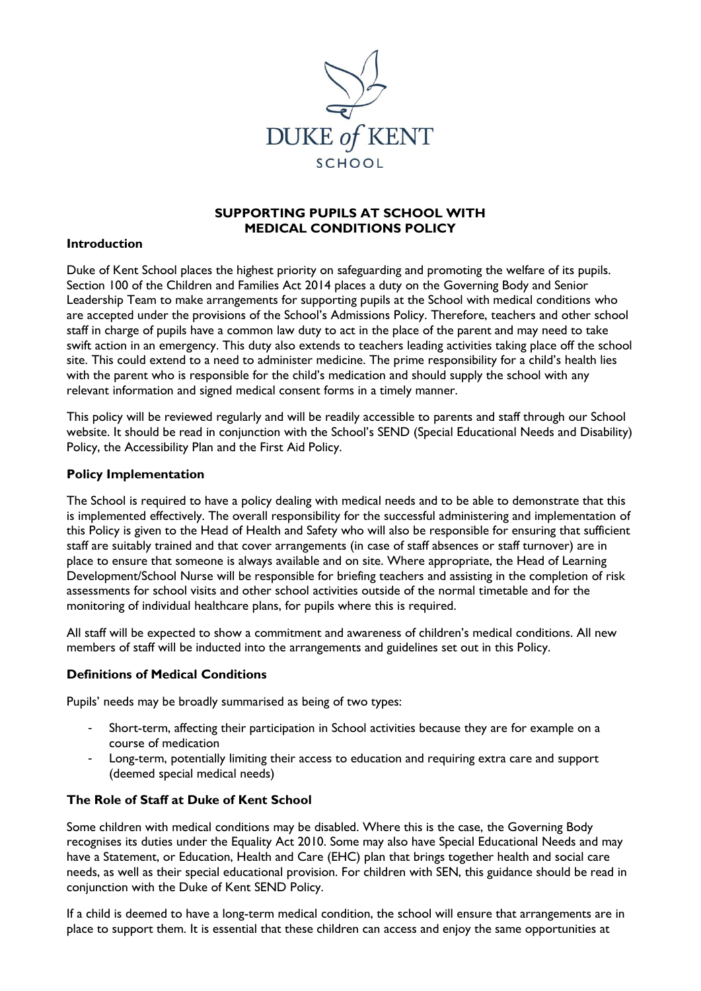

## **SUPPORTING PUPILS AT SCHOOL WITH MEDICAL CONDITIONS POLICY**

### **Introduction**

Duke of Kent School places the highest priority on safeguarding and promoting the welfare of its pupils. Section 100 of the Children and Families Act 2014 places a duty on the Governing Body and Senior Leadership Team to make arrangements for supporting pupils at the School with medical conditions who are accepted under the provisions of the School's Admissions Policy. Therefore, teachers and other school staff in charge of pupils have a common law duty to act in the place of the parent and may need to take swift action in an emergency. This duty also extends to teachers leading activities taking place off the school site. This could extend to a need to administer medicine. The prime responsibility for a child's health lies with the parent who is responsible for the child's medication and should supply the school with any relevant information and signed medical consent forms in a timely manner.

This policy will be reviewed regularly and will be readily accessible to parents and staff through our School website. It should be read in conjunction with the School's SEND (Special Educational Needs and Disability) Policy, the Accessibility Plan and the First Aid Policy.

### **Policy Implementation**

The School is required to have a policy dealing with medical needs and to be able to demonstrate that this is implemented effectively. The overall responsibility for the successful administering and implementation of this Policy is given to the Head of Health and Safety who will also be responsible for ensuring that sufficient staff are suitably trained and that cover arrangements (in case of staff absences or staff turnover) are in place to ensure that someone is always available and on site. Where appropriate, the Head of Learning Development/School Nurse will be responsible for briefing teachers and assisting in the completion of risk assessments for school visits and other school activities outside of the normal timetable and for the monitoring of individual healthcare plans, for pupils where this is required.

All staff will be expected to show a commitment and awareness of children's medical conditions. All new members of staff will be inducted into the arrangements and guidelines set out in this Policy.

#### **Definitions of Medical Conditions**

Pupils' needs may be broadly summarised as being of two types:

- Short-term, affecting their participation in School activities because they are for example on a course of medication
- Long-term, potentially limiting their access to education and requiring extra care and support (deemed special medical needs)

### **The Role of Staff at Duke of Kent School**

Some children with medical conditions may be disabled. Where this is the case, the Governing Body recognises its duties under the Equality Act 2010. Some may also have Special Educational Needs and may have a Statement, or Education, Health and Care (EHC) plan that brings together health and social care needs, as well as their special educational provision. For children with SEN, this guidance should be read in conjunction with the Duke of Kent SEND Policy.

If a child is deemed to have a long-term medical condition, the school will ensure that arrangements are in place to support them. It is essential that these children can access and enjoy the same opportunities at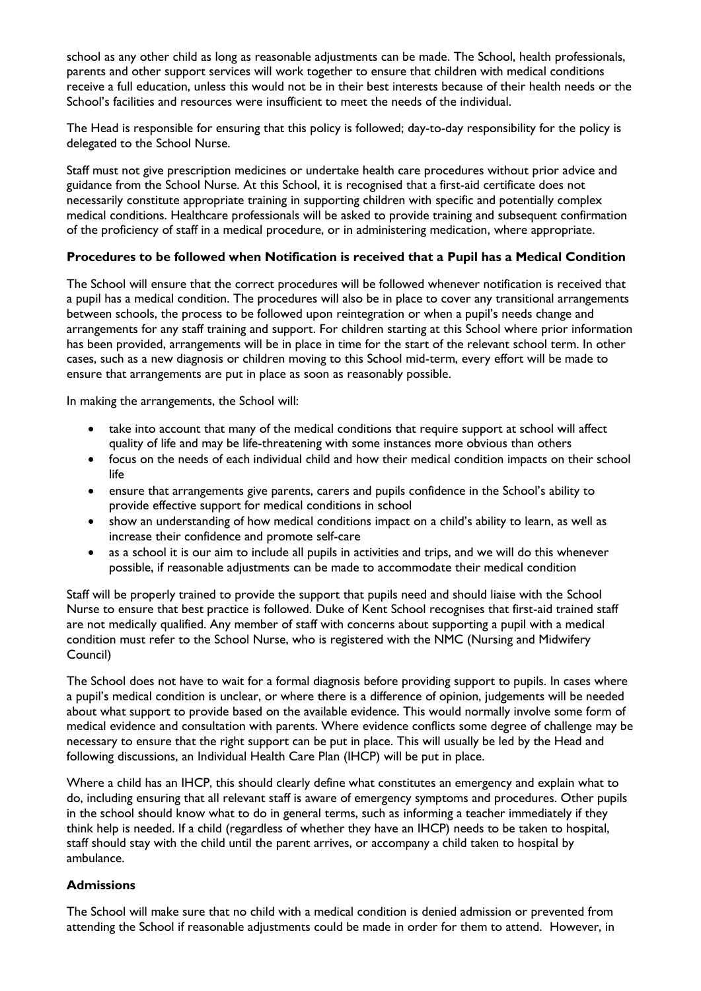school as any other child as long as reasonable adjustments can be made. The School, health professionals, parents and other support services will work together to ensure that children with medical conditions receive a full education, unless this would not be in their best interests because of their health needs or the School's facilities and resources were insufficient to meet the needs of the individual.

The Head is responsible for ensuring that this policy is followed; day-to-day responsibility for the policy is delegated to the School Nurse.

Staff must not give prescription medicines or undertake health care procedures without prior advice and guidance from the School Nurse. At this School, it is recognised that a first-aid certificate does not necessarily constitute appropriate training in supporting children with specific and potentially complex medical conditions. Healthcare professionals will be asked to provide training and subsequent confirmation of the proficiency of staff in a medical procedure, or in administering medication, where appropriate.

# **Procedures to be followed when Notification is received that a Pupil has a Medical Condition**

The School will ensure that the correct procedures will be followed whenever notification is received that a pupil has a medical condition. The procedures will also be in place to cover any transitional arrangements between schools, the process to be followed upon reintegration or when a pupil's needs change and arrangements for any staff training and support. For children starting at this School where prior information has been provided, arrangements will be in place in time for the start of the relevant school term. In other cases, such as a new diagnosis or children moving to this School mid-term, every effort will be made to ensure that arrangements are put in place as soon as reasonably possible.

In making the arrangements, the School will:

- take into account that many of the medical conditions that require support at school will affect quality of life and may be life-threatening with some instances more obvious than others
- focus on the needs of each individual child and how their medical condition impacts on their school life
- ensure that arrangements give parents, carers and pupils confidence in the School's ability to provide effective support for medical conditions in school
- show an understanding of how medical conditions impact on a child's ability to learn, as well as increase their confidence and promote self-care
- as a school it is our aim to include all pupils in activities and trips, and we will do this whenever possible, if reasonable adjustments can be made to accommodate their medical condition

Staff will be properly trained to provide the support that pupils need and should liaise with the School Nurse to ensure that best practice is followed. Duke of Kent School recognises that first-aid trained staff are not medically qualified. Any member of staff with concerns about supporting a pupil with a medical condition must refer to the School Nurse, who is registered with the NMC (Nursing and Midwifery Council)

The School does not have to wait for a formal diagnosis before providing support to pupils. In cases where a pupil's medical condition is unclear, or where there is a difference of opinion, judgements will be needed about what support to provide based on the available evidence. This would normally involve some form of medical evidence and consultation with parents. Where evidence conflicts some degree of challenge may be necessary to ensure that the right support can be put in place. This will usually be led by the Head and following discussions, an Individual Health Care Plan (IHCP) will be put in place.

Where a child has an IHCP, this should clearly define what constitutes an emergency and explain what to do, including ensuring that all relevant staff is aware of emergency symptoms and procedures. Other pupils in the school should know what to do in general terms, such as informing a teacher immediately if they think help is needed. If a child (regardless of whether they have an IHCP) needs to be taken to hospital, staff should stay with the child until the parent arrives, or accompany a child taken to hospital by ambulance.

# **Admissions**

The School will make sure that no child with a medical condition is denied admission or prevented from attending the School if reasonable adjustments could be made in order for them to attend. However, in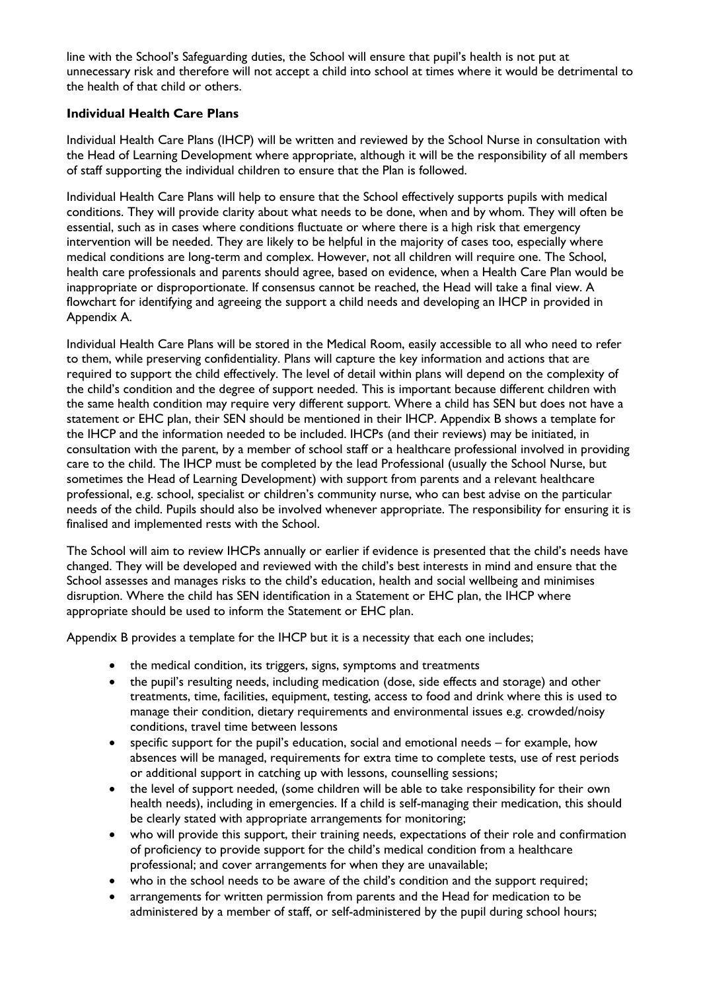line with the School's Safeguarding duties, the School will ensure that pupil's health is not put at unnecessary risk and therefore will not accept a child into school at times where it would be detrimental to the health of that child or others.

# **Individual Health Care Plans**

Individual Health Care Plans (IHCP) will be written and reviewed by the School Nurse in consultation with the Head of Learning Development where appropriate, although it will be the responsibility of all members of staff supporting the individual children to ensure that the Plan is followed.

Individual Health Care Plans will help to ensure that the School effectively supports pupils with medical conditions. They will provide clarity about what needs to be done, when and by whom. They will often be essential, such as in cases where conditions fluctuate or where there is a high risk that emergency intervention will be needed. They are likely to be helpful in the majority of cases too, especially where medical conditions are long-term and complex. However, not all children will require one. The School, health care professionals and parents should agree, based on evidence, when a Health Care Plan would be inappropriate or disproportionate. If consensus cannot be reached, the Head will take a final view. A flowchart for identifying and agreeing the support a child needs and developing an IHCP in provided in Appendix A.

Individual Health Care Plans will be stored in the Medical Room, easily accessible to all who need to refer to them, while preserving confidentiality. Plans will capture the key information and actions that are required to support the child effectively. The level of detail within plans will depend on the complexity of the child's condition and the degree of support needed. This is important because different children with the same health condition may require very different support. Where a child has SEN but does not have a statement or EHC plan, their SEN should be mentioned in their IHCP. Appendix B shows a template for the IHCP and the information needed to be included. IHCPs (and their reviews) may be initiated, in consultation with the parent, by a member of school staff or a healthcare professional involved in providing care to the child. The IHCP must be completed by the lead Professional (usually the School Nurse, but sometimes the Head of Learning Development) with support from parents and a relevant healthcare professional, e.g. school, specialist or children's community nurse, who can best advise on the particular needs of the child. Pupils should also be involved whenever appropriate. The responsibility for ensuring it is finalised and implemented rests with the School.

The School will aim to review IHCPs annually or earlier if evidence is presented that the child's needs have changed. They will be developed and reviewed with the child's best interests in mind and ensure that the School assesses and manages risks to the child's education, health and social wellbeing and minimises disruption. Where the child has SEN identification in a Statement or EHC plan, the IHCP where appropriate should be used to inform the Statement or EHC plan.

Appendix B provides a template for the IHCP but it is a necessity that each one includes;

- the medical condition, its triggers, signs, symptoms and treatments
- the pupil's resulting needs, including medication (dose, side effects and storage) and other treatments, time, facilities, equipment, testing, access to food and drink where this is used to manage their condition, dietary requirements and environmental issues e.g. crowded/noisy conditions, travel time between lessons
- specific support for the pupil's education, social and emotional needs for example, how absences will be managed, requirements for extra time to complete tests, use of rest periods or additional support in catching up with lessons, counselling sessions;
- the level of support needed, (some children will be able to take responsibility for their own health needs), including in emergencies. If a child is self-managing their medication, this should be clearly stated with appropriate arrangements for monitoring;
- who will provide this support, their training needs, expectations of their role and confirmation of proficiency to provide support for the child's medical condition from a healthcare professional; and cover arrangements for when they are unavailable;
- who in the school needs to be aware of the child's condition and the support required;
- arrangements for written permission from parents and the Head for medication to be administered by a member of staff, or self-administered by the pupil during school hours;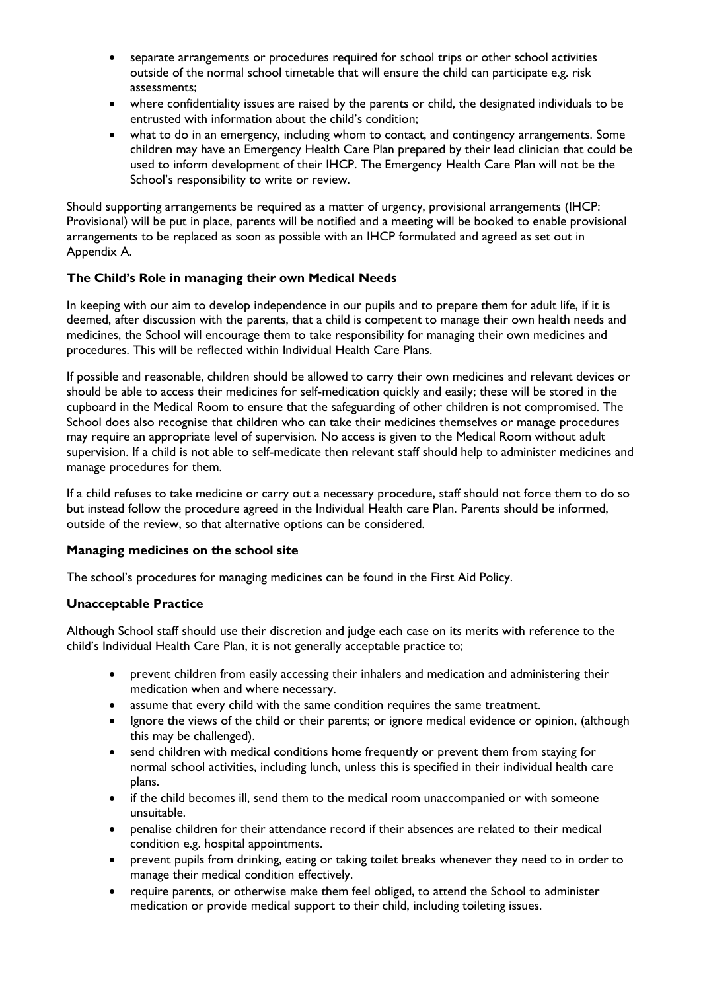- separate arrangements or procedures required for school trips or other school activities outside of the normal school timetable that will ensure the child can participate e.g. risk assessments;
- where confidentiality issues are raised by the parents or child, the designated individuals to be entrusted with information about the child's condition;
- what to do in an emergency, including whom to contact, and contingency arrangements. Some children may have an Emergency Health Care Plan prepared by their lead clinician that could be used to inform development of their IHCP. The Emergency Health Care Plan will not be the School's responsibility to write or review.

Should supporting arrangements be required as a matter of urgency, provisional arrangements (IHCP: Provisional) will be put in place, parents will be notified and a meeting will be booked to enable provisional arrangements to be replaced as soon as possible with an IHCP formulated and agreed as set out in Appendix A.

# **The Child's Role in managing their own Medical Needs**

In keeping with our aim to develop independence in our pupils and to prepare them for adult life, if it is deemed, after discussion with the parents, that a child is competent to manage their own health needs and medicines, the School will encourage them to take responsibility for managing their own medicines and procedures. This will be reflected within Individual Health Care Plans.

If possible and reasonable, children should be allowed to carry their own medicines and relevant devices or should be able to access their medicines for self-medication quickly and easily; these will be stored in the cupboard in the Medical Room to ensure that the safeguarding of other children is not compromised. The School does also recognise that children who can take their medicines themselves or manage procedures may require an appropriate level of supervision. No access is given to the Medical Room without adult supervision. If a child is not able to self-medicate then relevant staff should help to administer medicines and manage procedures for them.

If a child refuses to take medicine or carry out a necessary procedure, staff should not force them to do so but instead follow the procedure agreed in the Individual Health care Plan. Parents should be informed, outside of the review, so that alternative options can be considered.

# **Managing medicines on the school site**

The school's procedures for managing medicines can be found in the First Aid Policy.

# **Unacceptable Practice**

Although School staff should use their discretion and judge each case on its merits with reference to the child's Individual Health Care Plan, it is not generally acceptable practice to;

- prevent children from easily accessing their inhalers and medication and administering their medication when and where necessary.
- assume that every child with the same condition requires the same treatment.
- Ignore the views of the child or their parents; or ignore medical evidence or opinion, (although this may be challenged).
- send children with medical conditions home frequently or prevent them from staying for normal school activities, including lunch, unless this is specified in their individual health care plans.
- if the child becomes ill, send them to the medical room unaccompanied or with someone unsuitable.
- penalise children for their attendance record if their absences are related to their medical condition e.g. hospital appointments.
- prevent pupils from drinking, eating or taking toilet breaks whenever they need to in order to manage their medical condition effectively.
- require parents, or otherwise make them feel obliged, to attend the School to administer medication or provide medical support to their child, including toileting issues.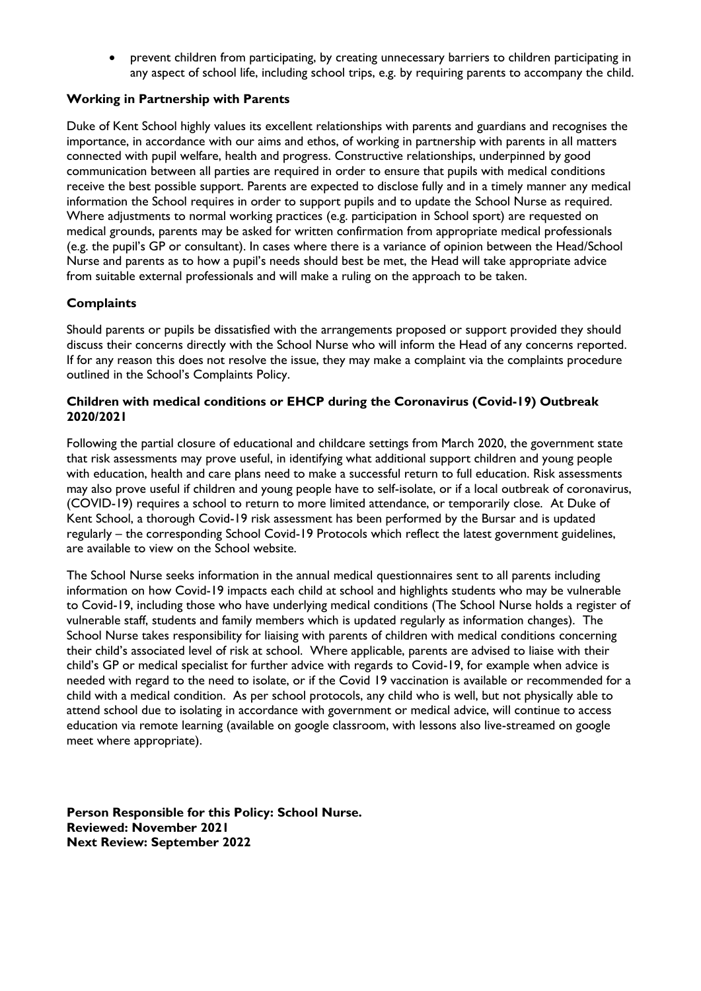prevent children from participating, by creating unnecessary barriers to children participating in any aspect of school life, including school trips, e.g. by requiring parents to accompany the child.

## **Working in Partnership with Parents**

Duke of Kent School highly values its excellent relationships with parents and guardians and recognises the importance, in accordance with our aims and ethos, of working in partnership with parents in all matters connected with pupil welfare, health and progress. Constructive relationships, underpinned by good communication between all parties are required in order to ensure that pupils with medical conditions receive the best possible support. Parents are expected to disclose fully and in a timely manner any medical information the School requires in order to support pupils and to update the School Nurse as required. Where adjustments to normal working practices (e.g. participation in School sport) are requested on medical grounds, parents may be asked for written confirmation from appropriate medical professionals (e.g. the pupil's GP or consultant). In cases where there is a variance of opinion between the Head/School Nurse and parents as to how a pupil's needs should best be met, the Head will take appropriate advice from suitable external professionals and will make a ruling on the approach to be taken.

# **Complaints**

Should parents or pupils be dissatisfied with the arrangements proposed or support provided they should discuss their concerns directly with the School Nurse who will inform the Head of any concerns reported. If for any reason this does not resolve the issue, they may make a complaint via the complaints procedure outlined in the School's Complaints Policy.

## **Children with medical conditions or EHCP during the Coronavirus (Covid-19) Outbreak 2020/2021**

Following the partial closure of educational and childcare settings from March 2020, the government state that risk assessments may prove useful, in identifying what additional support children and young people with education, health and care plans need to make a successful return to full education. Risk assessments may also prove useful if children and young people have to self-isolate, or if a local outbreak of coronavirus, (COVID-19) requires a school to return to more limited attendance, or temporarily close. At Duke of Kent School, a thorough Covid-19 risk assessment has been performed by the Bursar and is updated regularly – the corresponding School Covid-19 Protocols which reflect the latest government guidelines, are available to view on the School website.

The School Nurse seeks information in the annual medical questionnaires sent to all parents including information on how Covid-19 impacts each child at school and highlights students who may be vulnerable to Covid-19, including those who have underlying medical conditions (The School Nurse holds a register of vulnerable staff, students and family members which is updated regularly as information changes). The School Nurse takes responsibility for liaising with parents of children with medical conditions concerning their child's associated level of risk at school. Where applicable, parents are advised to liaise with their child's GP or medical specialist for further advice with regards to Covid-19, for example when advice is needed with regard to the need to isolate, or if the Covid 19 vaccination is available or recommended for a child with a medical condition. As per school protocols, any child who is well, but not physically able to attend school due to isolating in accordance with government or medical advice, will continue to access education via remote learning (available on google classroom, with lessons also live-streamed on google meet where appropriate).

**Person Responsible for this Policy: School Nurse. Reviewed: November 2021 Next Review: September 2022**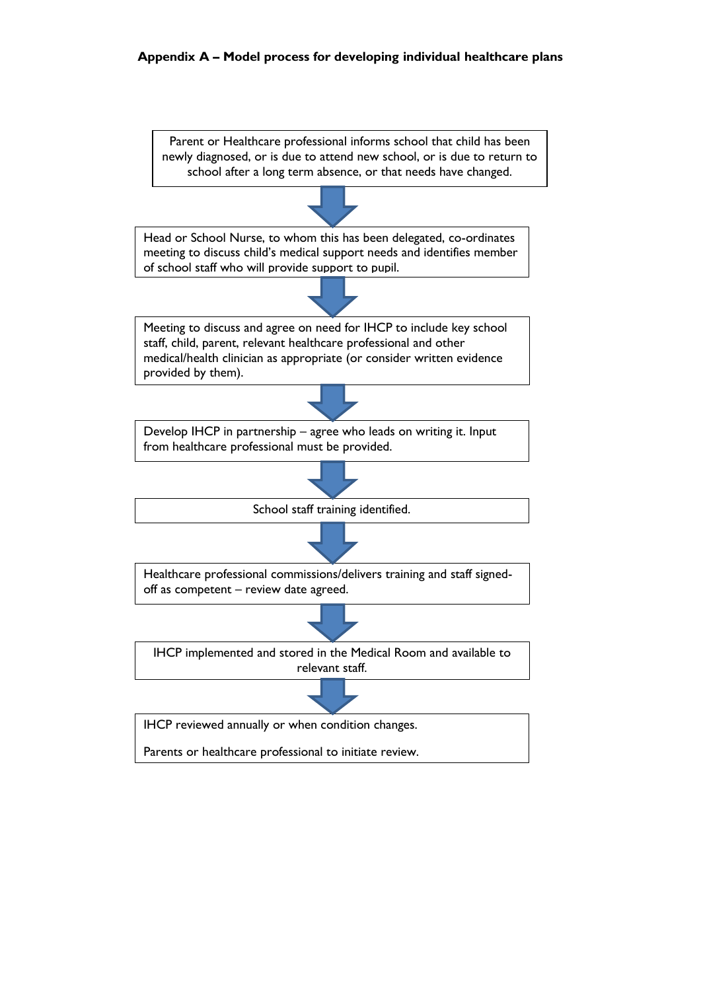## **Appendix A – Model process for developing individual healthcare plans**

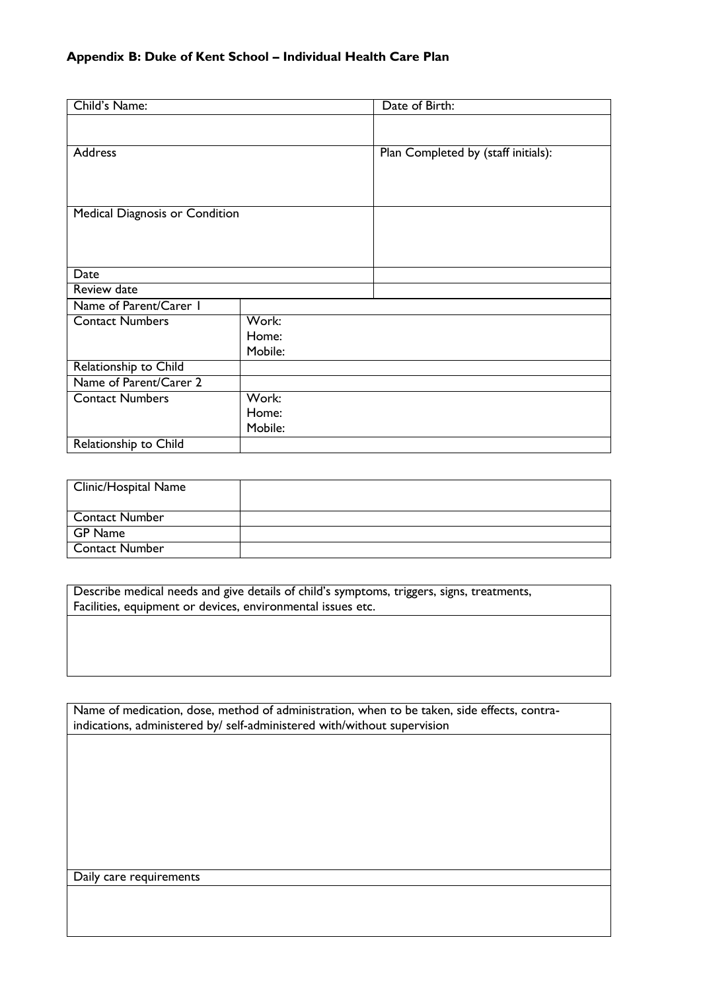| Child's Name:                  |         | Date of Birth:                      |
|--------------------------------|---------|-------------------------------------|
|                                |         |                                     |
| Address                        |         | Plan Completed by (staff initials): |
|                                |         |                                     |
| Medical Diagnosis or Condition |         |                                     |
|                                |         |                                     |
|                                |         |                                     |
|                                |         |                                     |
| Date                           |         |                                     |
| Review date                    |         |                                     |
| Name of Parent/Carer I         |         |                                     |
| <b>Contact Numbers</b>         | Work:   |                                     |
|                                | Home:   |                                     |
|                                | Mobile: |                                     |
| Relationship to Child          |         |                                     |
| Name of Parent/Carer 2         |         |                                     |
| <b>Contact Numbers</b>         | Work:   |                                     |
|                                | Home:   |                                     |
|                                | Mobile: |                                     |
| Relationship to Child          |         |                                     |

| Clinic/Hospital Name  |  |
|-----------------------|--|
|                       |  |
| <b>Contact Number</b> |  |
| GP Name               |  |
| Contact Number        |  |

Describe medical needs and give details of child's symptoms, triggers, signs, treatments, Facilities, equipment or devices, environmental issues etc.

Name of medication, dose, method of administration, when to be taken, side effects, contraindications, administered by/ self-administered with/without supervision

Daily care requirements